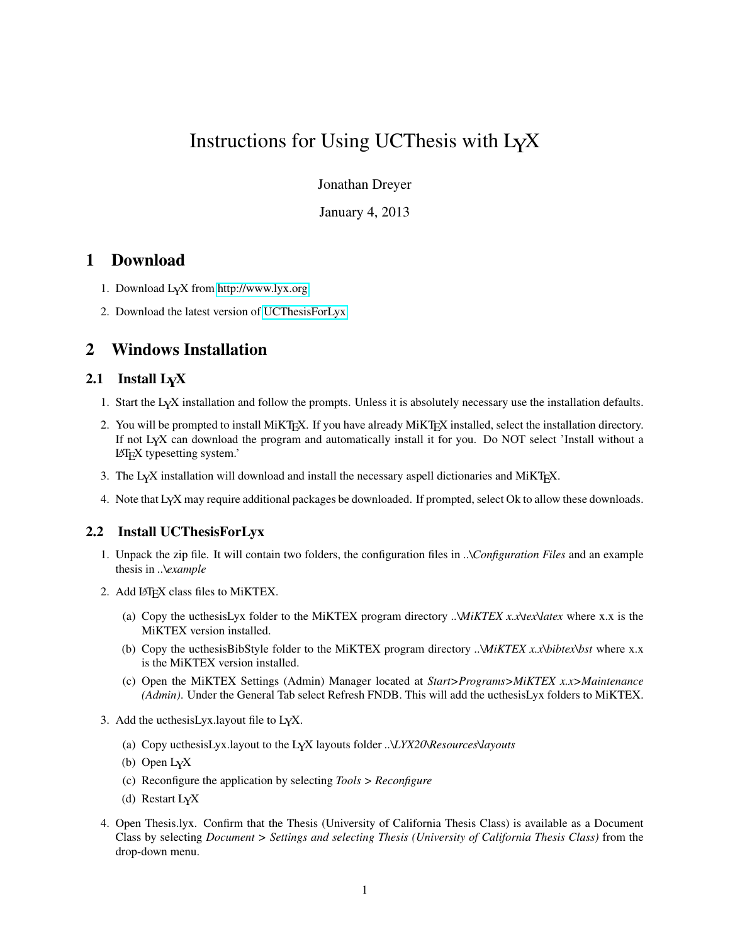# Instructions for Using UCThesis with LYX

Jonathan Dreyer

January 4, 2013

#### 1 Download

- 1. Download LYX from<http://www.lyx.org>
- 2. Download the latest version of [UCThesisForLyx.](http://www.jdreyer.com/projects/LyX)

### 2 Windows Installation

#### 2.1 Install L<sub>Y</sub>X

- 1. Start the LYX installation and follow the prompts. Unless it is absolutely necessary use the installation defaults.
- 2. You will be prompted to install MiKTEX. If you have already MiKTEX installed, select the installation directory. If not LYX can download the program and automatically install it for you. Do NOT select 'Install without a LATEX typesetting system.'
- 3. The LYX installation will download and install the necessary aspell dictionaries and MiKTEX.
- 4. Note that LYX may require additional packages be downloaded. If prompted, select Ok to allow these downloads.

#### 2.2 Install UCThesisForLyx

- 1. Unpack the zip file. It will contain two folders, the configuration files in *..\Configuration Files* and an example thesis in *..\example*
- 2. Add LATEX class files to MiKTEX.
	- (a) Copy the ucthesisLyx folder to the MiKTEX program directory *..\MiKTEX x.x\tex\latex* where x.x is the MiKTEX version installed.
	- (b) Copy the ucthesisBibStyle folder to the MiKTEX program directory *..\MiKTEX x.x\bibtex\bst* where x.x is the MiKTEX version installed.
	- (c) Open the MiKTEX Settings (Admin) Manager located at *Start>Programs>MiKTEX x.x>Maintenance (Admin)*. Under the General Tab select Refresh FNDB. This will add the ucthesisLyx folders to MiKTEX.
- 3. Add the ucthesisLyx.layout file to LYX.
	- (a) Copy ucthesisLyx.layout to the LYX layouts folder *..\LYX20\Resources\layouts*
	- (b) Open LYX
	- (c) Reconfigure the application by selecting *Tools > Reconfigure*
	- (d) Restart LYX
- 4. Open Thesis.lyx. Confirm that the Thesis (University of California Thesis Class) is available as a Document Class by selecting *Document > Settings and selecting Thesis (University of California Thesis Class)* from the drop-down menu.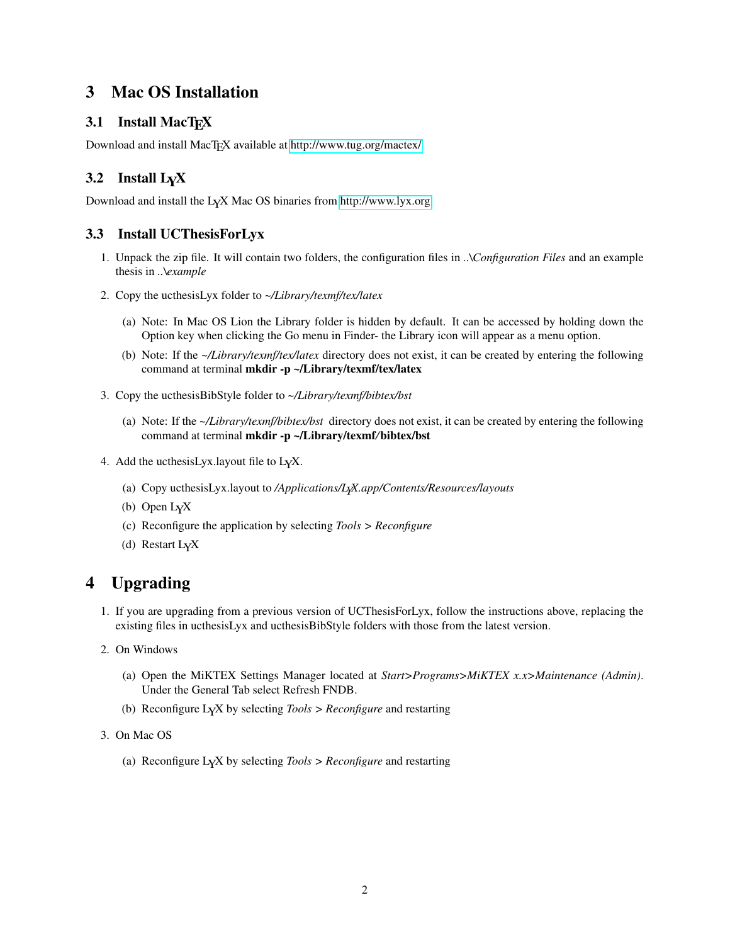# 3 Mac OS Installation

#### 3.1 Install MacT<sub>E</sub>X

Download and install MacT<sub>E</sub>X available at<http://www.tug.org/mactex/>

### 3.2 Install  $L<sub>Y</sub>X$

Download and install the LYX Mac OS binaries from<http://www.lyx.org>

#### 3.3 Install UCThesisForLyx

- 1. Unpack the zip file. It will contain two folders, the configuration files in *..\Configuration Files* and an example thesis in *..\example*
- 2. Copy the ucthesisLyx folder to *~/Library/texmf/tex/latex*
	- (a) Note: In Mac OS Lion the Library folder is hidden by default. It can be accessed by holding down the Option key when clicking the Go menu in Finder- the Library icon will appear as a menu option.
	- (b) Note: If the *~/Library/texmf/tex/latex* directory does not exist, it can be created by entering the following command at terminal mkdir -p ~/Library/texmf/tex/latex
- 3. Copy the ucthesisBibStyle folder to *~/Library/texmf/bibtex/bst*
	- (a) Note: If the *~/Library/texmf/bibtex/bst* directory does not exist, it can be created by entering the following command at terminal mkdir -p ~/Library/texmf*/*bibtex/bst
- 4. Add the ucthesisLyx.layout file to LYX.
	- (a) Copy ucthesisLyx.layout to */Applications/LYX.app/Contents/Resources/layouts*
	- (b) Open LYX
	- (c) Reconfigure the application by selecting *Tools > Reconfigure*
	- (d) Restart LYX

# 4 Upgrading

- 1. If you are upgrading from a previous version of UCThesisForLyx, follow the instructions above, replacing the existing files in ucthesisLyx and ucthesisBibStyle folders with those from the latest version.
- 2. On Windows
	- (a) Open the MiKTEX Settings Manager located at *Start>Programs>MiKTEX x.x>Maintenance (Admin)*. Under the General Tab select Refresh FNDB.
	- (b) Reconfigure LYX by selecting *Tools > Reconfigure* and restarting
- 3. On Mac OS
	- (a) Reconfigure LYX by selecting *Tools > Reconfigure* and restarting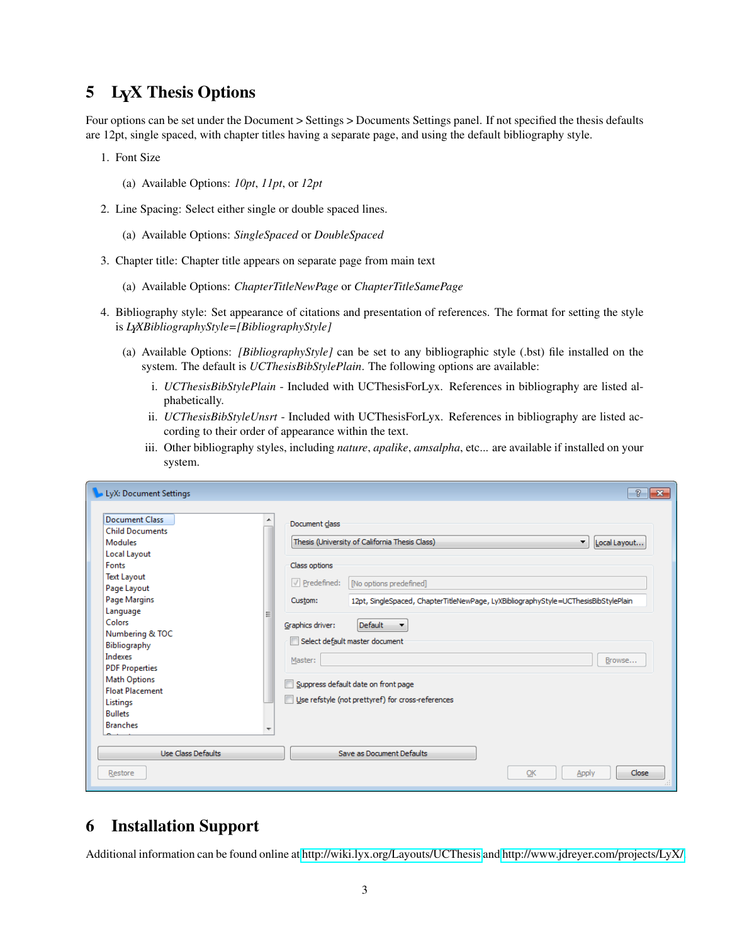#### 5 LYX Thesis Options

Four options can be set under the Document > Settings > Documents Settings panel. If not specified the thesis defaults are 12pt, single spaced, with chapter titles having a separate page, and using the default bibliography style.

- 1. Font Size
	- (a) Available Options: *10pt*, *11pt*, or *12pt*
- 2. Line Spacing: Select either single or double spaced lines.
	- (a) Available Options: *SingleSpaced* or *DoubleSpaced*
- 3. Chapter title: Chapter title appears on separate page from main text
	- (a) Available Options: *ChapterTitleNewPage* or *ChapterTitleSamePage*
- 4. Bibliography style: Set appearance of citations and presentation of references. The format for setting the style is *LYXBibliographyStyle=[BibliographyStyle]*
	- (a) Available Options: *[BibliographyStyle]* can be set to any bibliographic style (.bst) file installed on the system. The default is *UCThesisBibStylePlain*. The following options are available:
		- i. *UCThesisBibStylePlain* Included with UCThesisForLyx. References in bibliography are listed alphabetically.
		- ii. *UCThesisBibStyleUnsrt* Included with UCThesisForLyx. References in bibliography are listed according to their order of appearance within the text.
		- iii. Other bibliography styles, including *nature*, *apalike*, *amsalpha*, etc... are available if installed on your system.

| <b>Document Class</b><br><b>Child Documents</b> | Document class                                                                                 |              |
|-------------------------------------------------|------------------------------------------------------------------------------------------------|--------------|
| <b>Modules</b>                                  | Thesis (University of California Thesis Class)<br>$\blacktriangledown$                         | Local Layout |
| Local Layout                                    |                                                                                                |              |
| Fonts                                           | Class options                                                                                  |              |
| <b>Text Layout</b>                              |                                                                                                |              |
| Page Layout                                     | $\sqrt{}$ Predefined:<br>[No options predefined]                                               |              |
| Page Margins                                    | Custom:<br>12pt, SingleSpaced, ChapterTitleNewPage, LyXBibliographyStyle=UCThesisBibStylePlain |              |
| Language                                        | Ξ                                                                                              |              |
| Colors                                          | Default<br>Graphics driver:<br>$\overline{\phantom{a}}$                                        |              |
| Numbering & TOC                                 |                                                                                                |              |
| Bibliography                                    | Select default master document                                                                 |              |
| Indexes                                         | Master:                                                                                        | Browse       |
| <b>PDF Properties</b>                           |                                                                                                |              |
| <b>Math Options</b>                             | Suppress default date on front page                                                            |              |
| <b>Float Placement</b>                          |                                                                                                |              |
| Listings                                        | Use refstyle (not prettyref) for cross-references                                              |              |
| <b>Bullets</b>                                  |                                                                                                |              |
| <b>Branches</b>                                 | ÷                                                                                              |              |
|                                                 |                                                                                                |              |
| <b>Use Class Defaults</b>                       | Save as Document Defaults                                                                      |              |

#### 6 Installation Support

Additional information can be found online at<http://wiki.lyx.org/Layouts/UCThesis> and [http://www.jdreyer.com/projects/LyX/.](http://www.jdreyer.com/projects/LyX/)